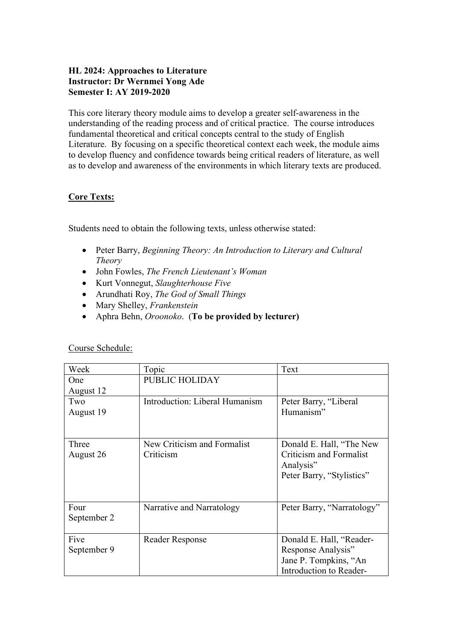# **HL 2024: Approaches to Literature Instructor: Dr Wernmei Yong Ade Semester I: AY 2019-2020**

This core literary theory module aims to develop a greater self-awareness in the understanding of the reading process and of critical practice. The course introduces fundamental theoretical and critical concepts central to the study of English Literature. By focusing on a specific theoretical context each week, the module aims to develop fluency and confidence towards being critical readers of literature, as well as to develop and awareness of the environments in which literary texts are produced.

### **Core Texts:**

Students need to obtain the following texts, unless otherwise stated:

- Peter Barry, *Beginning Theory: An Introduction to Literary and Cultural Theory*
- John Fowles, *The French Lieutenant's Woman*
- Kurt Vonnegut, *Slaughterhouse Five*
- Arundhati Roy, *The God of Small Things*
- Mary Shelley, *Frankenstein*
- Aphra Behn, *Oroonoko*. (**To be provided by lecturer)**

| Week        | Topic                          | Text                       |
|-------------|--------------------------------|----------------------------|
| One         | PUBLIC HOLIDAY                 |                            |
| August 12   |                                |                            |
| Two         | Introduction: Liberal Humanism | Peter Barry, "Liberal      |
| August 19   |                                | Humanism"                  |
|             |                                |                            |
|             |                                |                            |
| Three       | New Criticism and Formalist    | Donald E. Hall, "The New   |
| August 26   | Criticism                      | Criticism and Formalist    |
|             |                                | Analysis"                  |
|             |                                | Peter Barry, "Stylistics"  |
|             |                                |                            |
|             |                                |                            |
| Four        | Narrative and Narratology      | Peter Barry, "Narratology" |
| September 2 |                                |                            |
|             |                                |                            |
| Five        | Reader Response                | Donald E. Hall, "Reader-   |
| September 9 |                                | Response Analysis"         |
|             |                                | Jane P. Tompkins, "An      |
|             |                                | Introduction to Reader-    |

# Course Schedule: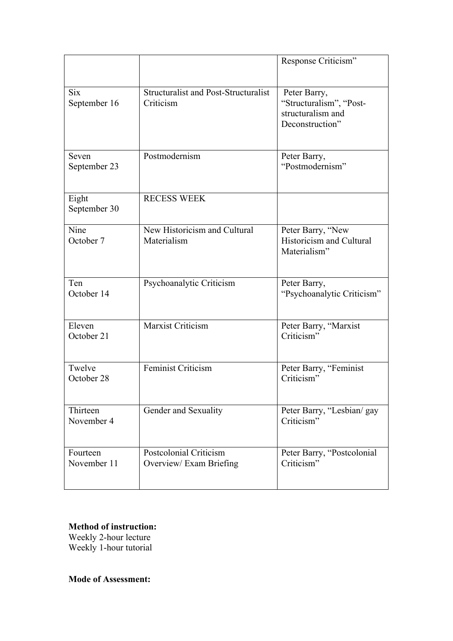|                            |                                                          | Response Criticism"                                                             |
|----------------------------|----------------------------------------------------------|---------------------------------------------------------------------------------|
| <b>Six</b><br>September 16 | <b>Structuralist and Post-Structuralist</b><br>Criticism | Peter Barry,<br>"Structuralism", "Post-<br>structuralism and<br>Deconstruction" |
| Seven<br>September 23      | Postmodernism                                            | Peter Barry,<br>"Postmodernism"                                                 |
| Eight<br>September 30      | <b>RECESS WEEK</b>                                       |                                                                                 |
| Nine<br>October 7          | New Historicism and Cultural<br>Materialism              | Peter Barry, "New<br>Historicism and Cultural<br>Materialism"                   |
| Ten<br>October 14          | Psychoanalytic Criticism                                 | Peter Barry,<br>"Psychoanalytic Criticism"                                      |
| Eleven<br>October 21       | Marxist Criticism                                        | Peter Barry, "Marxist<br>Criticism"                                             |
| Twelve<br>October 28       | <b>Feminist Criticism</b>                                | Peter Barry, "Feminist<br>Criticism"                                            |
| Thirteen<br>November 4     | Gender and Sexuality                                     | Peter Barry, "Lesbian/ gay<br>Criticism"                                        |
| Fourteen<br>November 11    | Postcolonial Criticism<br>Overview/Exam Briefing         | Peter Barry, "Postcolonial<br>Criticism"                                        |

## **Method of instruction:**  Weekly 2-hour lecture Weekly 1-hour tutorial

**Mode of Assessment:**